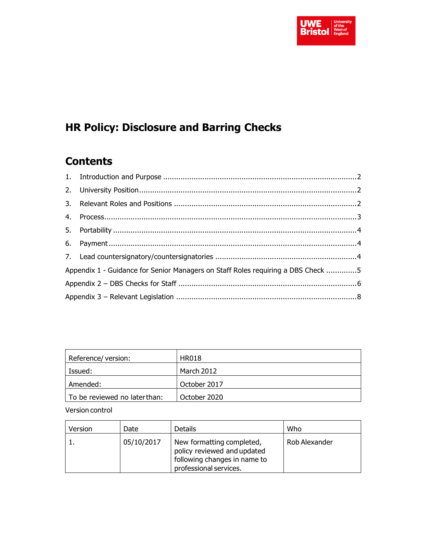

# **HR Policy: Disclosure and Barring Checks**

# **Contents**

| Appendix 1 - Guidance for Senior Managers on Staff Roles requiring a DBS Check 5 |  |  |  |  |
|----------------------------------------------------------------------------------|--|--|--|--|
|                                                                                  |  |  |  |  |
|                                                                                  |  |  |  |  |

| Reference/ version:          | <b>HR018</b> |
|------------------------------|--------------|
| Issued:                      | March 2012   |
| Amended:                     | October 2017 |
| To be reviewed no laterthan: | October 2020 |

Version control

| Version | Date       | <b>Details</b>                                                                                                     | Who           |
|---------|------------|--------------------------------------------------------------------------------------------------------------------|---------------|
|         | 05/10/2017 | New formatting completed,<br>policy reviewed and updated<br>following changes in name to<br>professional services. | Rob Alexander |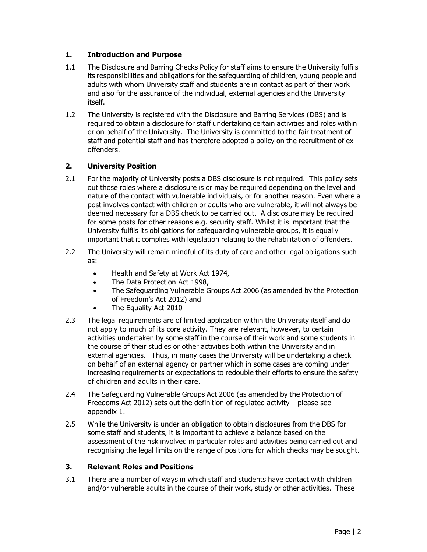# <span id="page-1-0"></span>**1. Introduction and Purpose**

- 1.1 The Disclosure and Barring Checks Policy for staff aims to ensure the University fulfils its responsibilities and obligations for the safeguarding of children, young people and adults with whom University staff and students are in contact as part of their work and also for the assurance of the individual, external agencies and the University itself.
- 1.2 The University is registered with the Disclosure and Barring Services (DBS) and is required to obtain a disclosure for staff undertaking certain activities and roles within or on behalf of the University. The University is committed to the fair treatment of staff and potential staff and has therefore adopted a policy on the recruitment of exoffenders.

# <span id="page-1-1"></span>**2. University Position**

- 2.1 For the majority of University posts a DBS disclosure is not required. This policy sets out those roles where a disclosure is or may be required depending on the level and nature of the contact with vulnerable individuals, or for another reason. Even where a post involves contact with children or adults who are vulnerable, it will not always be deemed necessary for a DBS check to be carried out. A disclosure may be required for some posts for other reasons e.g. security staff. Whilst it is important that the University fulfils its obligations for safeguarding vulnerable groups, it is equally important that it complies with legislation relating to the rehabilitation of offenders.
- 2.2 The University will remain mindful of its duty of care and other legal obligations such as:
	- Health and Safety at Work Act 1974,
	- The Data Protection Act 1998,
	- The Safeguarding Vulnerable Groups Act 2006 (as amended by the Protection of Freedom's Act 2012) and
	- The Equality Act 2010
- 2.3 The legal requirements are of limited application within the University itself and do not apply to much of its core activity. They are relevant, however, to certain activities undertaken by some staff in the course of their work and some students in the course of their studies or other activities both within the University and in external agencies. Thus, in many cases the University will be undertaking a check on behalf of an external agency or partner which in some cases are coming under increasing requirements or expectations to redouble their efforts to ensure the safety of children and adults in their care.
- 2.4 The Safeguarding Vulnerable Groups Act 2006 (as amended by the Protection of Freedoms Act 2012) sets out the definition of regulated activity – please see appendix 1.
- 2.5 While the University is under an obligation to obtain disclosures from the DBS for some staff and students, it is important to achieve a balance based on the assessment of the risk involved in particular roles and activities being carried out and recognising the legal limits on the range of positions for which checks may be sought.

# <span id="page-1-2"></span>**3. Relevant Roles and Positions**

3.1 There are a number of ways in which staff and students have contact with children and/or vulnerable adults in the course of their work, study or other activities. These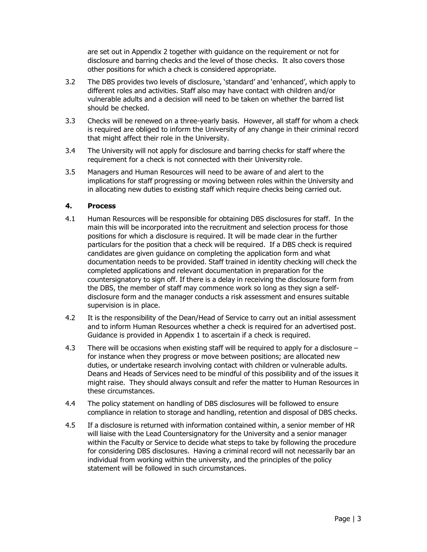are set out in Appendix 2 together with guidance on the requirement or not for disclosure and barring checks and the level of those checks. It also covers those other positions for which a check is considered appropriate.

- 3.2 The DBS provides two levels of disclosure, 'standard' and 'enhanced', which apply to different roles and activities. Staff also may have contact with children and/or vulnerable adults and a decision will need to be taken on whether the barred list should be checked.
- 3.3 Checks will be renewed on a three-yearly basis. However, all staff for whom a check is required are obliged to inform the University of any change in their criminal record that might affect their role in the University.
- 3.4 The University will not apply for disclosure and barring checks for staff where the requirement for a check is not connected with their University role.
- 3.5 Managers and Human Resources will need to be aware of and alert to the implications for staff progressing or moving between roles within the University and in allocating new duties to existing staff which require checks being carried out.

#### <span id="page-2-0"></span>**4. Process**

- 4.1 Human Resources will be responsible for obtaining DBS disclosures for staff. In the main this will be incorporated into the recruitment and selection process for those positions for which a disclosure is required. It will be made clear in the further particulars for the position that a check will be required. If a DBS check is required candidates are given guidance on completing the application form and what documentation needs to be provided. Staff trained in identity checking will check the completed applications and relevant documentation in preparation for the countersignatory to sign off. If there is a delay in receiving the disclosure form from the DBS, the member of staff may commence work so long as they sign a selfdisclosure form and the manager conducts a risk assessment and ensures suitable supervision is in place.
- 4.2 It is the responsibility of the Dean/Head of Service to carry out an initial assessment and to inform Human Resources whether a check is required for an advertised post. Guidance is provided in Appendix 1 to ascertain if a check is required.
- 4.3 There will be occasions when existing staff will be required to apply for a disclosure for instance when they progress or move between positions; are allocated new duties, or undertake research involving contact with children or vulnerable adults. Deans and Heads of Services need to be mindful of this possibility and of the issues it might raise. They should always consult and refer the matter to Human Resources in these circumstances.
- 4.4 The policy statement on handling of DBS disclosures will be followed to ensure compliance in relation to storage and handling, retention and disposal of DBS checks.
- 4.5 If a disclosure is returned with information contained within, a senior member of HR will liaise with the Lead Countersignatory for the University and a senior manager within the Faculty or Service to decide what steps to take by following the procedure for considering DBS disclosures. Having a criminal record will not necessarily bar an individual from working within the university, and the principles of the policy statement will be followed in such circumstances.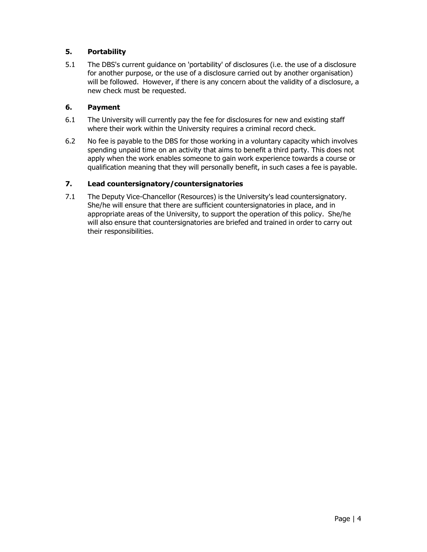# <span id="page-3-0"></span>**5. Portability**

5.1 The DBS's current guidance on 'portability' of disclosures (i.e. the use of a disclosure for another purpose, or the use of a disclosure carried out by another organisation) will be followed. However, if there is any concern about the validity of a disclosure, a new check must be requested.

#### <span id="page-3-1"></span>**6. Payment**

- 6.1 The University will currently pay the fee for disclosures for new and existing staff where their work within the University requires a criminal record check.
- 6.2 No fee is payable to the DBS for those working in a voluntary capacity which involves spending unpaid time on an activity that aims to benefit a third party. This does not apply when the work enables someone to gain work experience towards a course or qualification meaning that they will personally benefit, in such cases a fee is payable.

# <span id="page-3-2"></span>**7. Lead countersignatory/countersignatories**

7.1 The Deputy Vice-Chancellor (Resources) is the University's lead countersignatory. She/he will ensure that there are sufficient countersignatories in place, and in appropriate areas of the University, to support the operation of this policy. She/he will also ensure that countersignatories are briefed and trained in order to carry out their responsibilities.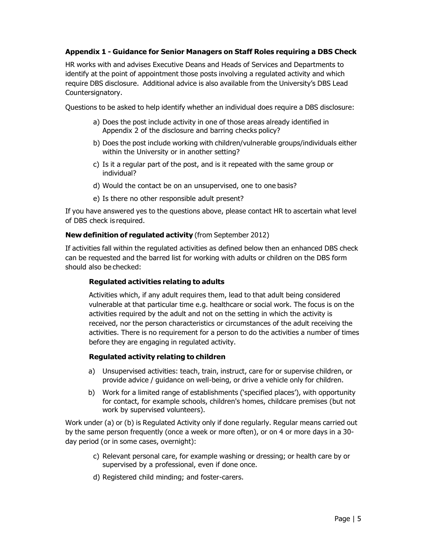#### <span id="page-4-0"></span>**Appendix 1 - Guidance for Senior Managers on Staff Roles requiring a DBS Check**

HR works with and advises Executive Deans and Heads of Services and Departments to identify at the point of appointment those posts involving a regulated activity and which require DBS disclosure. Additional advice is also available from the University's DBS Lead Countersignatory.

Questions to be asked to help identify whether an individual does require a DBS disclosure:

- a) Does the post include activity in one of those areas already identified in Appendix 2 of the disclosure and barring checks policy?
- b) Does the post include working with children/vulnerable groups/individuals either within the University or in another setting?
- c) Is it a regular part of the post, and is it repeated with the same group or individual?
- d) Would the contact be on an unsupervised, one to one basis?
- e) Is there no other responsible adult present?

If you have answered yes to the questions above, please contact HR to ascertain what level of DBS check is required.

#### **New definition of regulated activity** (from September 2012)

If activities fall within the regulated activities as defined below then an enhanced DBS check can be requested and the barred list for working with adults or children on the DBS form should also be checked:

#### **Regulated activities relating to adults**

Activities which, if any adult requires them, lead to that adult being considered vulnerable at that particular time e.g. healthcare or social work. The focus is on the activities required by the adult and not on the setting in which the activity is received, nor the person characteristics or circumstances of the adult receiving the activities. There is no requirement for a person to do the activities a number of times before they are engaging in regulated activity.

#### **Regulated activity relating to children**

- a) Unsupervised activities: teach, train, instruct, care for or supervise children, or provide advice / guidance on well-being, or drive a vehicle only for children.
- b) Work for a limited range of establishments ('specified places'), with opportunity for contact, for example schools, children's homes, childcare premises (but not work by supervised volunteers).

Work under (a) or (b) is Regulated Activity only if done regularly. Regular means carried out by the same person frequently (once a week or more often), or on 4 or more days in a 30 day period (or in some cases, overnight):

- c) Relevant personal care, for example washing or dressing; or health care by or supervised by a professional, even if done once.
- d) Registered child minding; and foster-carers.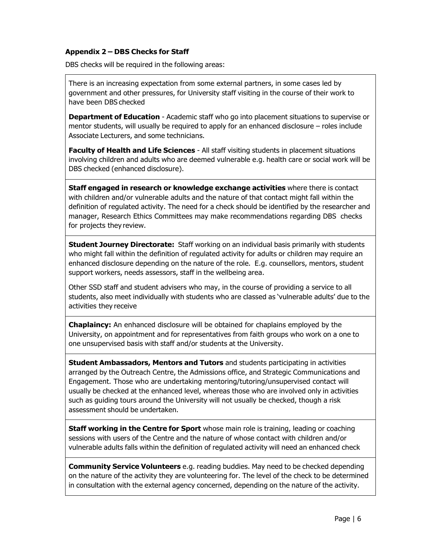#### <span id="page-5-0"></span>**Appendix 2 – DBS Checks for Staff**

DBS checks will be required in the following areas:

There is an increasing expectation from some external partners, in some cases led by government and other pressures, for University staff visiting in the course of their work to have been DBS checked

**Department of Education** - Academic staff who go into placement situations to supervise or mentor students, will usually be required to apply for an enhanced disclosure – roles include Associate Lecturers, and some technicians.

**Faculty of Health and Life Sciences** - All staff visiting students in placement situations involving children and adults who are deemed vulnerable e.g. health care or social work will be DBS checked (enhanced disclosure).

**Staff engaged in research or knowledge exchange activities** where there is contact with children and/or vulnerable adults and the nature of that contact might fall within the definition of regulated activity. The need for a check should be identified by the researcher and manager, Research Ethics Committees may make recommendations regarding DBS checks for projects they review.

**Student Journey Directorate:** Staff working on an individual basis primarily with students who might fall within the definition of regulated activity for adults or children may require an enhanced disclosure depending on the nature of the role. E.g. counsellors, mentors, student support workers, needs assessors, staff in the wellbeing area.

Other SSD staff and student advisers who may, in the course of providing a service to all students, also meet individually with students who are classed as 'vulnerable adults' due to the activities they receive

**Chaplaincy:** An enhanced disclosure will be obtained for chaplains employed by the University, on appointment and for representatives from faith groups who work on a one to one unsupervised basis with staff and/or students at the University.

**Student Ambassadors, Mentors and Tutors** and students participating in activities arranged by the Outreach Centre, the Admissions office, and Strategic Communications and Engagement. Those who are undertaking mentoring/tutoring/unsupervised contact will usually be checked at the enhanced level, whereas those who are involved only in activities such as guiding tours around the University will not usually be checked, though a risk assessment should be undertaken.

**Staff working in the Centre for Sport** whose main role is training, leading or coaching sessions with users of the Centre and the nature of whose contact with children and/or vulnerable adults falls within the definition of regulated activity will need an enhanced check

**Community Service Volunteers** e.g. reading buddies. May need to be checked depending on the nature of the activity they are volunteering for. The level of the check to be determined in consultation with the external agency concerned, depending on the nature of the activity.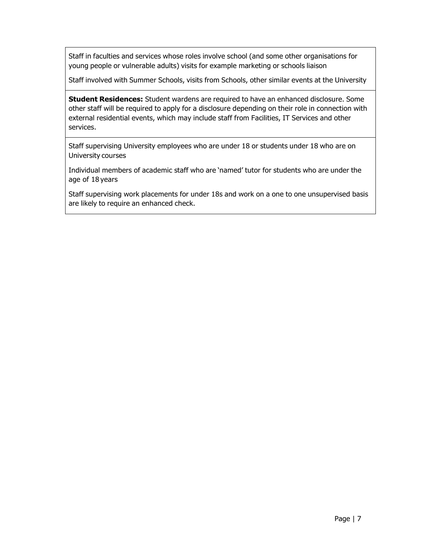Staff in faculties and services whose roles involve school (and some other organisations for young people or vulnerable adults) visits for example marketing or schools liaison

Staff involved with Summer Schools, visits from Schools, other similar events at the University

**Student Residences:** Student wardens are required to have an enhanced disclosure. Some other staff will be required to apply for a disclosure depending on their role in connection with external residential events, which may include staff from Facilities, IT Services and other services.

Staff supervising University employees who are under 18 or students under 18 who are on University courses

Individual members of academic staff who are 'named' tutor for students who are under the age of 18 years

Staff supervising work placements for under 18s and work on a one to one unsupervised basis are likely to require an enhanced check.